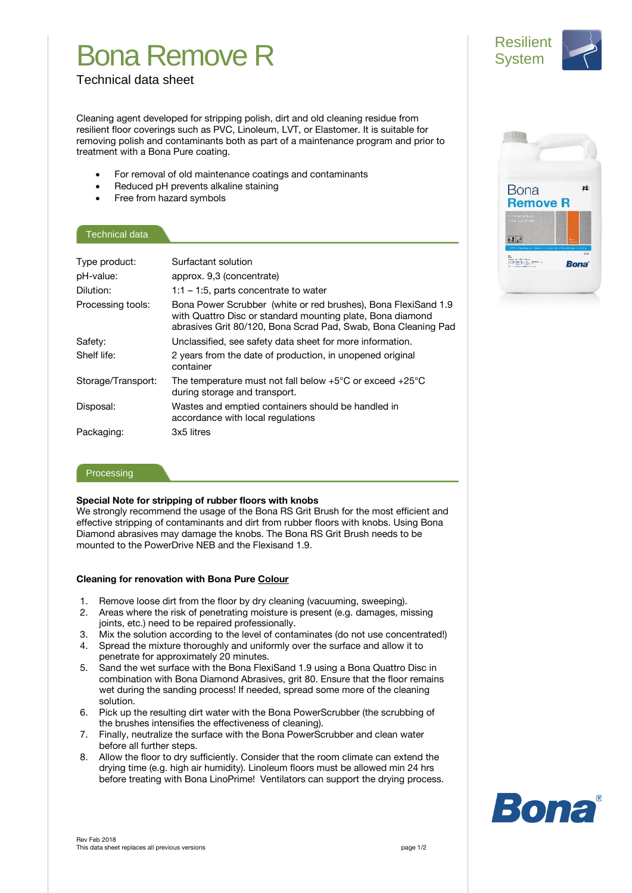# Bona Remove R



## Technical data sheet

Cleaning agent developed for stripping polish, dirt and old cleaning residue from resilient floor coverings such as PVC, Linoleum, LVT, or Elastomer. It is suitable for removing polish and contaminants both as part of a maintenance program and prior to treatment with a Bona Pure coating.

- For removal of old maintenance coatings and contaminants
- Reduced pH prevents alkaline staining
- Free from hazard symbols

### Technical data

| Type product:      | Surfactant solution                                                                                                                                                                            |
|--------------------|------------------------------------------------------------------------------------------------------------------------------------------------------------------------------------------------|
| pH-value:          | approx. 9,3 (concentrate)                                                                                                                                                                      |
| Dilution:          | $1:1 - 1:5$ , parts concentrate to water                                                                                                                                                       |
| Processing tools:  | Bona Power Scrubber (white or red brushes), Bona FlexiSand 1.9<br>with Quattro Disc or standard mounting plate, Bona diamond<br>abrasives Grit 80/120, Bona Scrad Pad, Swab, Bona Cleaning Pad |
| Safety:            | Unclassified, see safety data sheet for more information.                                                                                                                                      |
| Shelf life:        | 2 years from the date of production, in unopened original<br>container                                                                                                                         |
| Storage/Transport: | The temperature must not fall below $+5^{\circ}$ C or exceed $+25^{\circ}$ C<br>during storage and transport.                                                                                  |
| Disposal:          | Wastes and emptied containers should be handled in<br>accordance with local regulations                                                                                                        |
| Packaging:         | 3x5 litres                                                                                                                                                                                     |

#### Processing

### **Special Note for stripping of rubber floors with knobs**

We strongly recommend the usage of the Bona RS Grit Brush for the most efficient and effective stripping of contaminants and dirt from rubber floors with knobs. Using Bona Diamond abrasives may damage the knobs. The Bona RS Grit Brush needs to be mounted to the PowerDrive NEB and the Flexisand 1.9.

### **Cleaning for renovation with Bona Pure Colour**

- 1. Remove loose dirt from the floor by dry cleaning (vacuuming, sweeping).
- 2. Areas where the risk of penetrating moisture is present (e.g. damages, missing joints, etc.) need to be repaired professionally.
- 3. Mix the solution according to the level of contaminates (do not use concentrated!)
- 4. Spread the mixture thoroughly and uniformly over the surface and allow it to penetrate for approximately 20 minutes.
- 5. Sand the wet surface with the Bona FlexiSand 1.9 using a Bona Quattro Disc in combination with Bona Diamond Abrasives, grit 80. Ensure that the floor remains wet during the sanding process! If needed, spread some more of the cleaning solution.
- 6. Pick up the resulting dirt water with the Bona PowerScrubber (the scrubbing of the brushes intensifies the effectiveness of cleaning).
- 7. Finally, neutralize the surface with the Bona PowerScrubber and clean water before all further steps.
- 8. Allow the floor to dry sufficiently. Consider that the room climate can extend the drying time (e.g. high air humidity). Linoleum floors must be allowed min 24 hrs before treating with Bona LinoPrime! Ventilators can support the drying process.